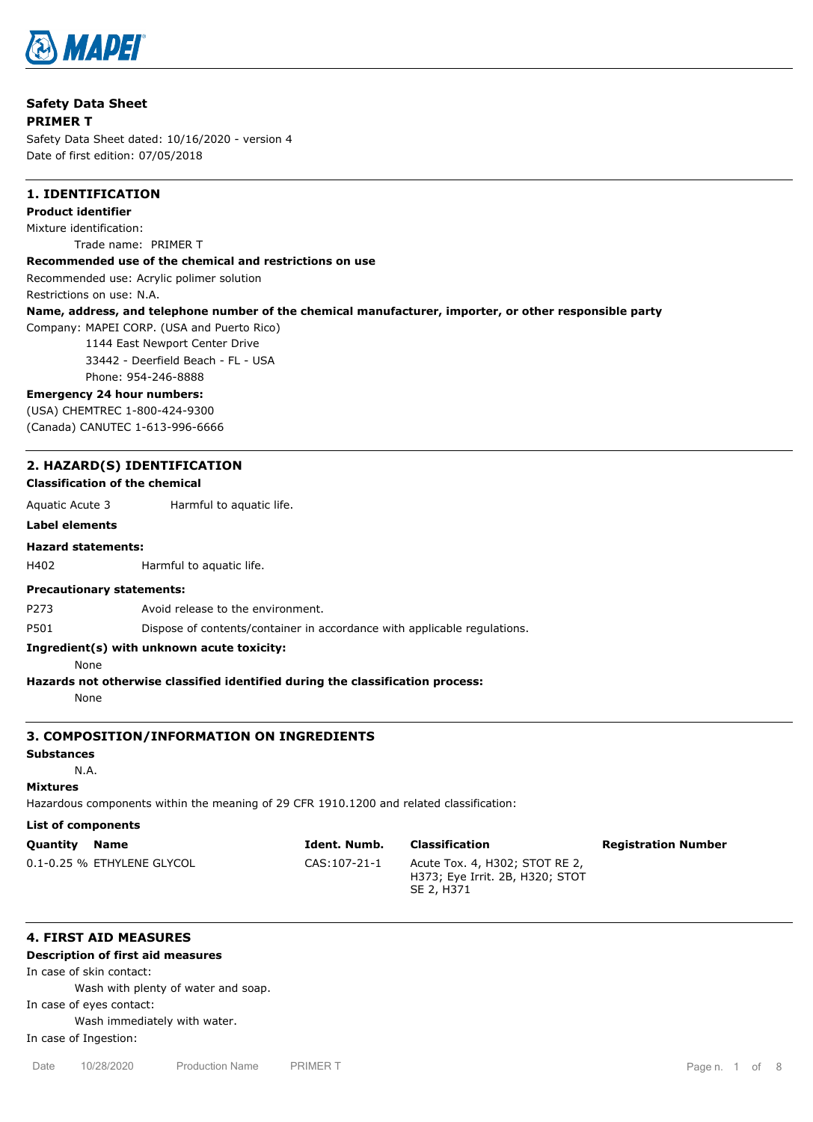

| <b>Safety Data Sheet</b>                                 |                                                                                                                                                      |
|----------------------------------------------------------|------------------------------------------------------------------------------------------------------------------------------------------------------|
| <b>PRIMER T</b>                                          |                                                                                                                                                      |
|                                                          | Safety Data Sheet dated: 10/16/2020 - version 4                                                                                                      |
| Date of first edition: 07/05/2018                        |                                                                                                                                                      |
| <b>1. IDENTIFICATION</b>                                 |                                                                                                                                                      |
| <b>Product identifier</b>                                |                                                                                                                                                      |
| Mixture identification:                                  |                                                                                                                                                      |
|                                                          | Trade name: PRIMER T                                                                                                                                 |
|                                                          | Recommended use of the chemical and restrictions on use                                                                                              |
|                                                          | Recommended use: Acrylic polimer solution                                                                                                            |
| Restrictions on use: N.A.                                |                                                                                                                                                      |
|                                                          | Name, address, and telephone number of the chemical manufacturer, importer, or other responsible party<br>Company: MAPEI CORP. (USA and Puerto Rico) |
|                                                          | 1144 East Newport Center Drive                                                                                                                       |
|                                                          | 33442 - Deerfield Beach - FL - USA                                                                                                                   |
|                                                          | Phone: 954-246-8888                                                                                                                                  |
| <b>Emergency 24 hour numbers:</b>                        |                                                                                                                                                      |
|                                                          | (USA) CHEMTREC 1-800-424-9300                                                                                                                        |
|                                                          | (Canada) CANUTEC 1-613-996-6666                                                                                                                      |
| <b>Classification of the chemical</b><br>Aquatic Acute 3 | 2. HAZARD(S) IDENTIFICATION<br>Harmful to aquatic life.                                                                                              |
| <b>Label elements</b>                                    |                                                                                                                                                      |
| <b>Hazard statements:</b>                                |                                                                                                                                                      |
| H402                                                     | Harmful to aquatic life.                                                                                                                             |
| <b>Precautionary statements:</b>                         |                                                                                                                                                      |
| P273                                                     | Avoid release to the environment.                                                                                                                    |
| P501                                                     | Dispose of contents/container in accordance with applicable regulations.                                                                             |
| None                                                     | Ingredient(s) with unknown acute toxicity:                                                                                                           |
|                                                          | Hazards not otherwise classified identified during the classification process:                                                                       |
| None                                                     |                                                                                                                                                      |
|                                                          | 3. COMPOSITION/INFORMATION ON INGREDIENTS                                                                                                            |
| <b>Substances</b>                                        |                                                                                                                                                      |
| N.A.                                                     |                                                                                                                                                      |
| <b>Mixtures</b>                                          |                                                                                                                                                      |
|                                                          | Hazardous components within the meaning of 29 CFR 1910.1200 and related classification:                                                              |
| <b>List of components</b>                                |                                                                                                                                                      |
| Ouantity Name                                            | Classification<br>Tdant Numh<br><b>Degictration Number</b>                                                                                           |

| Quantity | Name                       | Ident. Numb. | Classification                                                                  | <b>Registration Number</b> |
|----------|----------------------------|--------------|---------------------------------------------------------------------------------|----------------------------|
|          | 0.1-0.25 % ETHYLENE GLYCOL | CAS:107-21-1 | Acute Tox. 4, H302; STOT RE 2,<br>H373; Eye Irrit. 2B, H320; STOT<br>SE 2, H371 |                            |

# **4. FIRST AID MEASURES**

# **Description of first aid measures**

In case of skin contact: Wash with plenty of water and soap.

In case of eyes contact:

Wash immediately with water.

In case of Ingestion: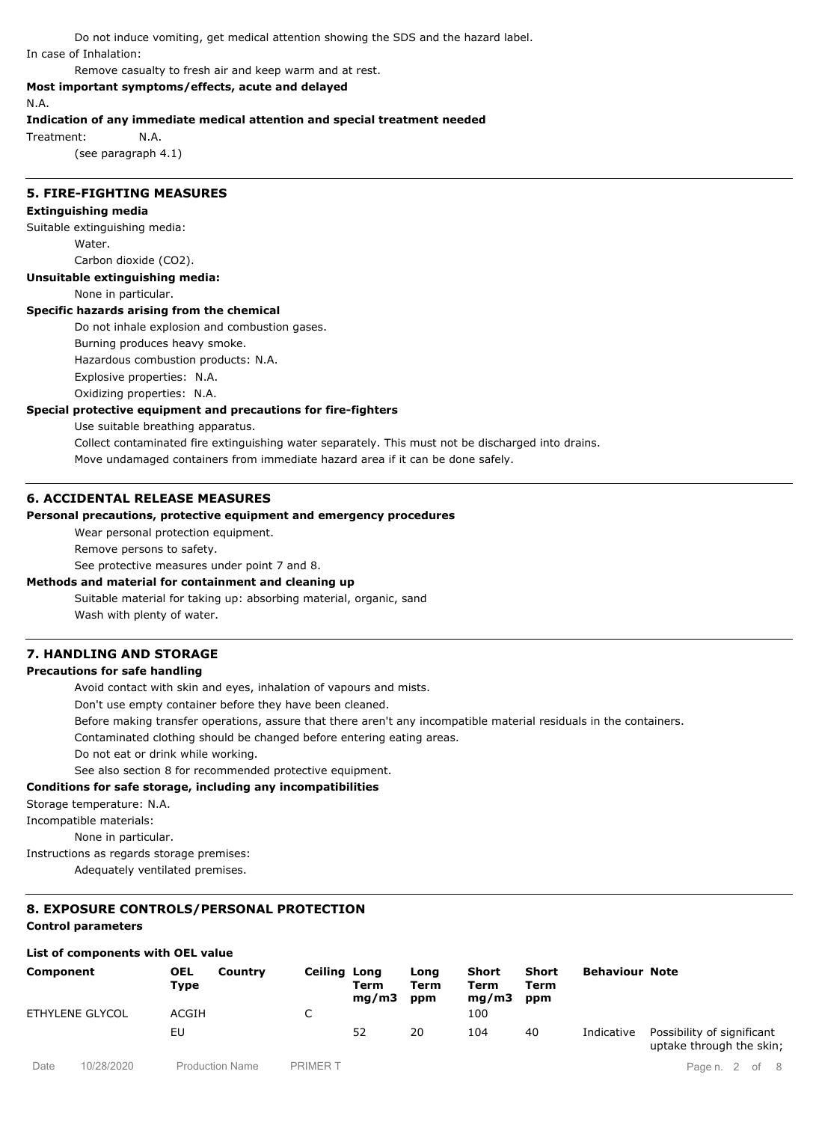Do not induce vomiting, get medical attention showing the SDS and the hazard label. In case of Inhalation:

Remove casualty to fresh air and keep warm and at rest.

## **Most important symptoms/effects, acute and delayed**

N.A.

#### **Indication of any immediate medical attention and special treatment needed**

Treatment: N.A.

(see paragraph 4.1)

## **5. FIRE-FIGHTING MEASURES**

## **Extinguishing media**

Suitable extinguishing media: Water.

Carbon dioxide (CO2).

**Unsuitable extinguishing media:**

None in particular.

### **Specific hazards arising from the chemical**

Do not inhale explosion and combustion gases.

Burning produces heavy smoke.

Hazardous combustion products: N.A.

Explosive properties: N.A.

Oxidizing properties: N.A.

### **Special protective equipment and precautions for fire-fighters**

Use suitable breathing apparatus.

Collect contaminated fire extinguishing water separately. This must not be discharged into drains.

Move undamaged containers from immediate hazard area if it can be done safely.

## **6. ACCIDENTAL RELEASE MEASURES**

## **Personal precautions, protective equipment and emergency procedures**

Wear personal protection equipment.

Remove persons to safety.

See protective measures under point 7 and 8.

#### **Methods and material for containment and cleaning up**

Suitable material for taking up: absorbing material, organic, sand Wash with plenty of water.

### **7. HANDLING AND STORAGE**

### **Precautions for safe handling**

Avoid contact with skin and eyes, inhalation of vapours and mists.

Don't use empty container before they have been cleaned.

Before making transfer operations, assure that there aren't any incompatible material residuals in the containers.

Contaminated clothing should be changed before entering eating areas.

Do not eat or drink while working.

See also section 8 for recommended protective equipment.

## **Conditions for safe storage, including any incompatibilities**

Storage temperature: N.A.

Incompatible materials:

None in particular.

Instructions as regards storage premises:

Adequately ventilated premises.

# **8. EXPOSURE CONTROLS/PERSONAL PROTECTION**

# **Control parameters**

# **List of components with OEL value**

| Component       | <b>OEL</b><br><b>Type</b> | Country | <b>Ceiling Long</b> | Term<br>mq/m3 | Long<br>Term<br>ppm | Short<br>Term<br>mq/m3 | Short<br>Term<br>ppm | <b>Behaviour Note</b> |                                                        |
|-----------------|---------------------------|---------|---------------------|---------------|---------------------|------------------------|----------------------|-----------------------|--------------------------------------------------------|
| ETHYLENE GLYCOL | ACGIH                     |         |                     |               |                     | 100                    |                      |                       |                                                        |
|                 | EU                        |         |                     | 52            | 20                  | 104                    | 40                   | Indicative            | Possibility of significant<br>uptake through the skin; |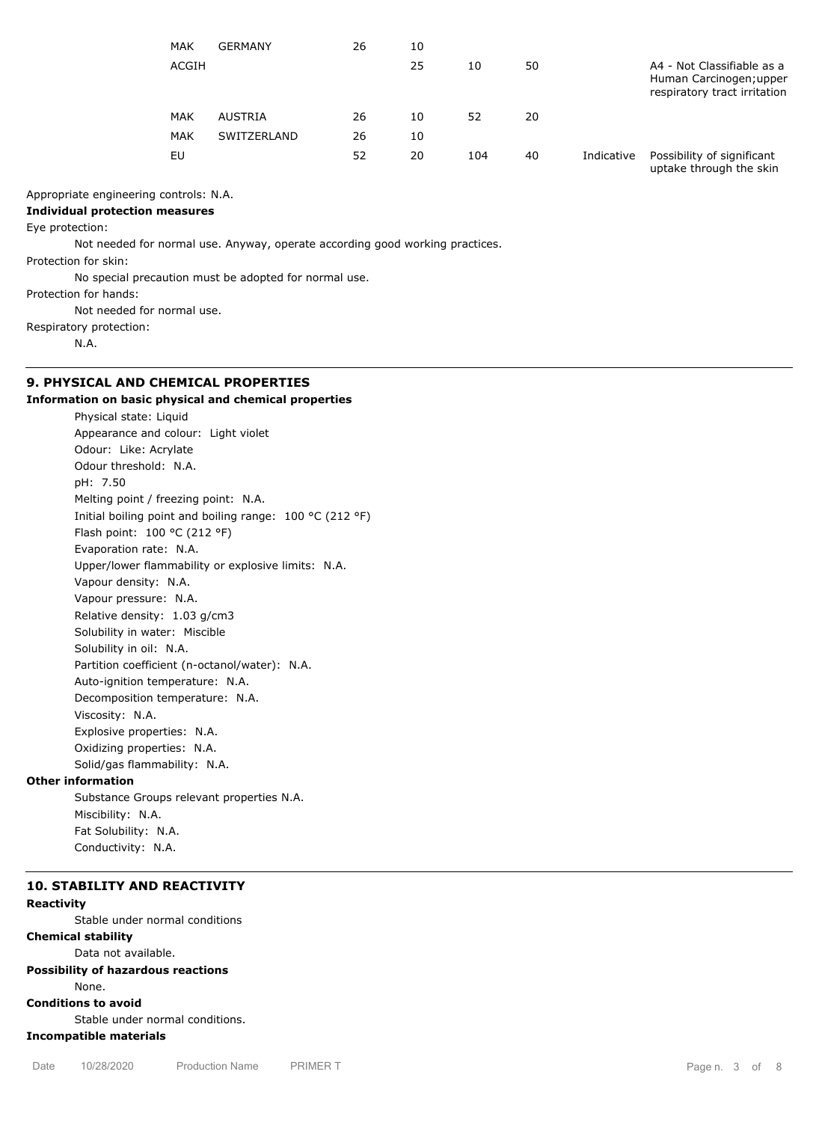| <b>MAK</b> | <b>GERMANY</b> | 26 | 10 |     |    |            |                                                                                       |
|------------|----------------|----|----|-----|----|------------|---------------------------------------------------------------------------------------|
| ACGIH      |                |    | 25 | 10  | 50 |            | A4 - Not Classifiable as a<br>Human Carcinogen; upper<br>respiratory tract irritation |
| <b>MAK</b> | AUSTRIA        | 26 | 10 | 52  | 20 |            |                                                                                       |
| <b>MAK</b> | SWITZERLAND    | 26 | 10 |     |    |            |                                                                                       |
| EU         |                | 52 | 20 | 104 | 40 | Indicative | Possibility of significant<br>uptake through the skin                                 |

### Appropriate engineering controls: N.A.

# **Individual protection measures**

### Eye protection:

Not needed for normal use. Anyway, operate according good working practices.

Protection for skin:

No special precaution must be adopted for normal use.

Protection for hands:

Not needed for normal use.

Respiratory protection:

N.A.

# **9. PHYSICAL AND CHEMICAL PROPERTIES**

## **Information on basic physical and chemical properties**

Physical state: Liquid Appearance and colour: Light violet Odour: Like: Acrylate Odour threshold: N.A. pH: 7.50 Melting point / freezing point: N.A. Initial boiling point and boiling range: 100 °C (212 °F) Flash point: 100 °C (212 °F) Evaporation rate: N.A. Upper/lower flammability or explosive limits: N.A. Vapour density: N.A. Vapour pressure: N.A. Relative density: 1.03 g/cm3 Solubility in water: Miscible Solubility in oil: N.A. Partition coefficient (n-octanol/water): N.A. Auto-ignition temperature: N.A. Decomposition temperature: N.A. Viscosity: N.A. Explosive properties: N.A. Oxidizing properties: N.A. Solid/gas flammability: N.A.

## **Other information**

Substance Groups relevant properties N.A. Miscibility: N.A. Fat Solubility: N.A. Conductivity: N.A.

### **10. STABILITY AND REACTIVITY Reactivity**

Stable under normal conditions

**Chemical stability**

Data not available.

### **Possibility of hazardous reactions** None.

**Conditions to avoid**

Stable under normal conditions.

**Incompatible materials**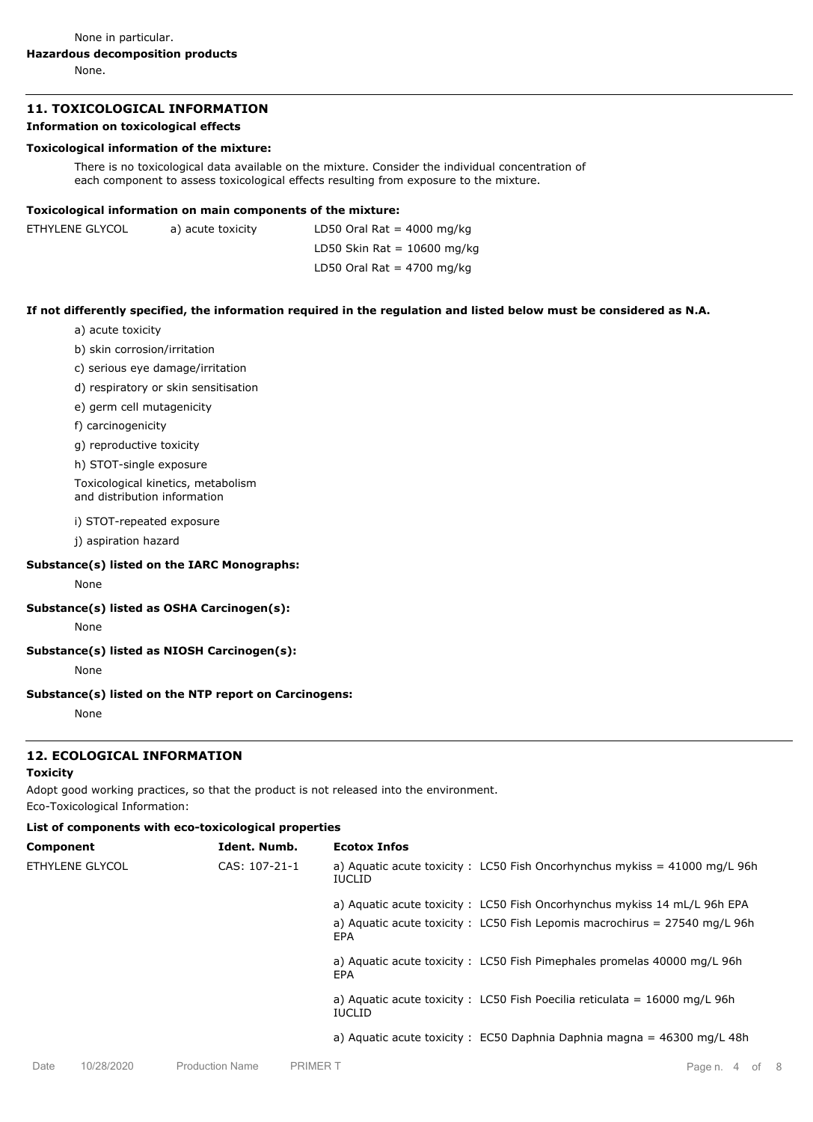None in particular.

# **Hazardous decomposition products**

None.

# **11. TOXICOLOGICAL INFORMATION**

## **Information on toxicological effects**

## **Toxicological information of the mixture:**

There is no toxicological data available on the mixture. Consider the individual concentration of each component to assess toxicological effects resulting from exposure to the mixture.

## **Toxicological information on main components of the mixture:**

| ETHYLENE GLYCOL | a) acute toxicity | LD50 Oral Rat = $4000$ mg/kg  |
|-----------------|-------------------|-------------------------------|
|                 |                   | LD50 Skin Rat = $10600$ mg/kg |
|                 |                   | LD50 Oral Rat = $4700$ mg/kg  |

# **If not differently specified, the information required in the regulation and listed below must be considered as N.A.**

- a) acute toxicity
- b) skin corrosion/irritation
- c) serious eye damage/irritation
- d) respiratory or skin sensitisation
- e) germ cell mutagenicity
- f) carcinogenicity
- g) reproductive toxicity
- h) STOT-single exposure

Toxicological kinetics, metabolism and distribution information

i) STOT-repeated exposure

j) aspiration hazard

### **Substance(s) listed on the IARC Monographs:**

None

### **Substance(s) listed as OSHA Carcinogen(s):**

None

# **Substance(s) listed as NIOSH Carcinogen(s):**

None

## **Substance(s) listed on the NTP report on Carcinogens:**

None

# **12. ECOLOGICAL INFORMATION**

### **Toxicity**

Adopt good working practices, so that the product is not released into the environment.

Eco-Toxicological Information:

# **List of components with eco-toxicological properties**

| Component       | Ident. Numb.  | <b>Ecotox Infos</b>                                                                                   |
|-----------------|---------------|-------------------------------------------------------------------------------------------------------|
| ETHYLENE GLYCOL | CAS: 107-21-1 | a) Aquatic acute toxicity : LC50 Fish Oncorhynchus mykiss = $41000$ mg/L 96h<br><b>IUCLID</b>         |
|                 |               | a) Aguatic acute toxicity: LC50 Fish Oncorhynchus mykiss 14 mL/L 96h EPA                              |
|                 |               | a) Aquatic acute toxicity : LC50 Fish Lepomis macrochirus = $27540$ mg/L 96h<br>EPA                   |
|                 |               | a) Aquatic acute toxicity: LC50 Fish Pimephales promelas 40000 mg/L 96h<br>EPA                        |
|                 |               | a) Aquatic acute toxicity : LC50 Fish Poecilia reticulata = $16000 \text{ mg/L}$ 96h<br><b>IUCLID</b> |
|                 |               | a) Aquatic acute toxicity : $EC50$ Daphnia Daphnia magna = 46300 mg/L 48h                             |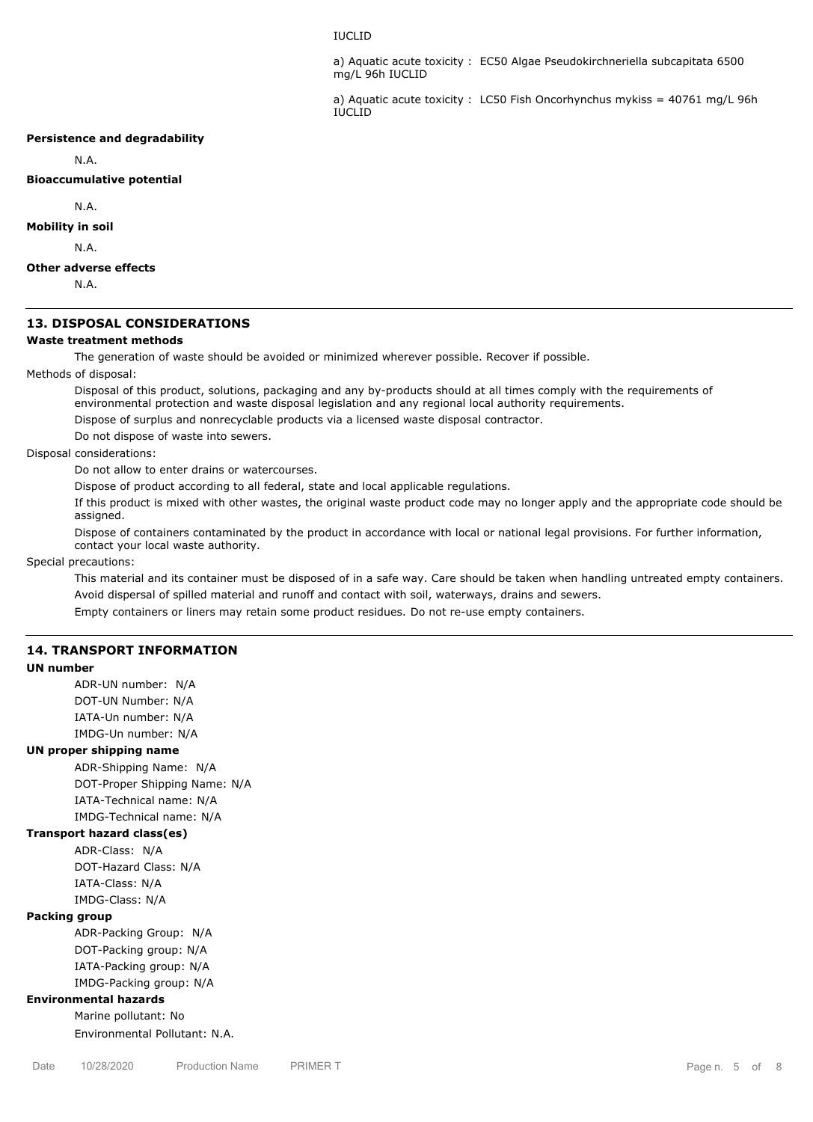### IUCLID

a) Aquatic acute toxicity : EC50 Algae Pseudokirchneriella subcapitata 6500 mg/L 96h IUCLID

a) Aquatic acute toxicity : LC50 Fish Oncorhynchus mykiss = 40761 mg/L 96h IUCLID

### **Persistence and degradability**

N.A.

### **Bioaccumulative potential**

N.A.

## **Mobility in soil**

N.A.

### **Other adverse effects**

N.A.

#### **13. DISPOSAL CONSIDERATIONS**

### **Waste treatment methods**

The generation of waste should be avoided or minimized wherever possible. Recover if possible.

Methods of disposal:

Disposal of this product, solutions, packaging and any by-products should at all times comply with the requirements of environmental protection and waste disposal legislation and any regional local authority requirements.

Dispose of surplus and nonrecyclable products via a licensed waste disposal contractor.

Do not dispose of waste into sewers.

## Disposal considerations:

Do not allow to enter drains or watercourses.

Dispose of product according to all federal, state and local applicable regulations.

If this product is mixed with other wastes, the original waste product code may no longer apply and the appropriate code should be assigned.

Dispose of containers contaminated by the product in accordance with local or national legal provisions. For further information, contact your local waste authority.

Special precautions:

This material and its container must be disposed of in a safe way. Care should be taken when handling untreated empty containers. Avoid dispersal of spilled material and runoff and contact with soil, waterways, drains and sewers. Empty containers or liners may retain some product residues. Do not re-use empty containers.

## **14. TRANSPORT INFORMATION**

#### **UN number**

ADR-UN number: N/A DOT-UN Number: N/A IATA-Un number: N/A

IMDG-Un number: N/A

### **UN proper shipping name**

ADR-Shipping Name: N/A DOT-Proper Shipping Name: N/A IATA-Technical name: N/A IMDG-Technical name: N/A

#### **Transport hazard class(es)**

ADR-Class: N/A DOT-Hazard Class: N/A IATA-Class: N/A IMDG-Class: N/A

### **Packing group**

ADR-Packing Group: N/A DOT-Packing group: N/A IATA-Packing group: N/A IMDG-Packing group: N/A

### **Environmental hazards**

Marine pollutant: No Environmental Pollutant: N.A.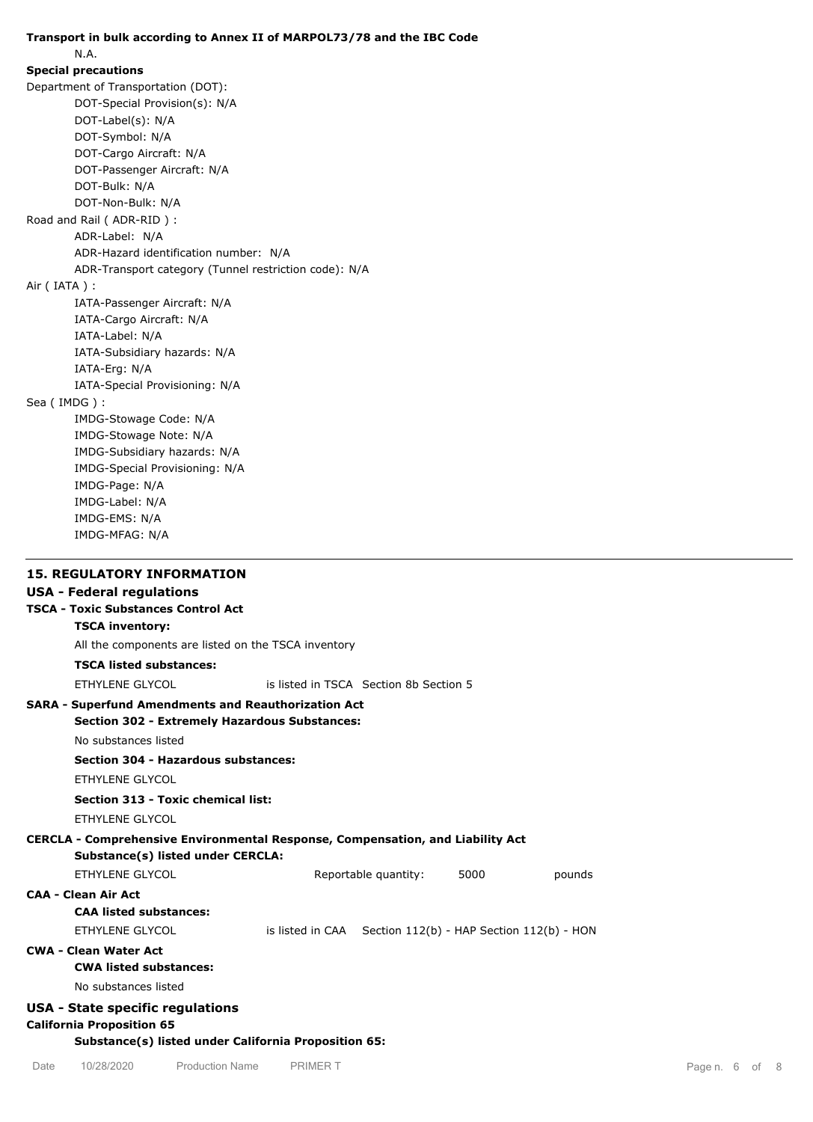# **Transport in bulk according to Annex II of MARPOL73/78 and the IBC Code** N.A. **Special precautions** Department of Transportation (DOT): DOT-Special Provision(s): N/A DOT-Label(s): N/A DOT-Symbol: N/A DOT-Cargo Aircraft: N/A DOT-Passenger Aircraft: N/A DOT-Bulk: N/A DOT-Non-Bulk: N/A Road and Rail ( ADR-RID ) : ADR-Label: N/A ADR-Hazard identification number: N/A ADR-Transport category (Tunnel restriction code): N/A Air ( IATA ) : IATA-Passenger Aircraft: N/A IATA-Cargo Aircraft: N/A IATA-Label: N/A IATA-Subsidiary hazards: N/A IATA-Erg: N/A IATA-Special Provisioning: N/A Sea ( IMDG ) : IMDG-Stowage Code: N/A IMDG-Stowage Note: N/A IMDG-Subsidiary hazards: N/A IMDG-Special Provisioning: N/A IMDG-Page: N/A IMDG-Label: N/A IMDG-EMS: N/A IMDG-MFAG: N/A **15. REGULATORY INFORMATION USA - Federal regulations TSCA - Toxic Substances Control Act SARA - Superfund Amendments and Reauthorization Act TSCA inventory:** All the components are listed on the TSCA inventory **TSCA listed substances:** ETHYLENE GLYCOL is listed in TSCA Section 8b Section 5 **Section 302 - Extremely Hazardous Substances:**

No substances listed

**Section 304 - Hazardous substances:**

ETHYLENE GLYCOL

## **Section 313 - Toxic chemical list:**

ETHYLENE GLYCOL

# **CERCLA - Comprehensive Environmental Response, Compensation, and Liability Act**

**Substance(s) listed under CERCLA:**

| ETHYLENE GLYCOL                  | Reportable quantity:                                             | 5000 | pounds |
|----------------------------------|------------------------------------------------------------------|------|--------|
| CAA - Clean Air Act              |                                                                  |      |        |
| <b>CAA listed substances:</b>    |                                                                  |      |        |
| ETHYLENE GLYCOL                  | is listed in $CAA$ Section $112(b)$ - HAP Section $112(b)$ - HON |      |        |
| CWA - Clean Water Act            |                                                                  |      |        |
| <b>CWA listed substances:</b>    |                                                                  |      |        |
| No substances listed             |                                                                  |      |        |
| USA - State specific regulations |                                                                  |      |        |
| <b>California Proposition 65</b> |                                                                  |      |        |

## **Substance(s) listed under California Proposition 65:**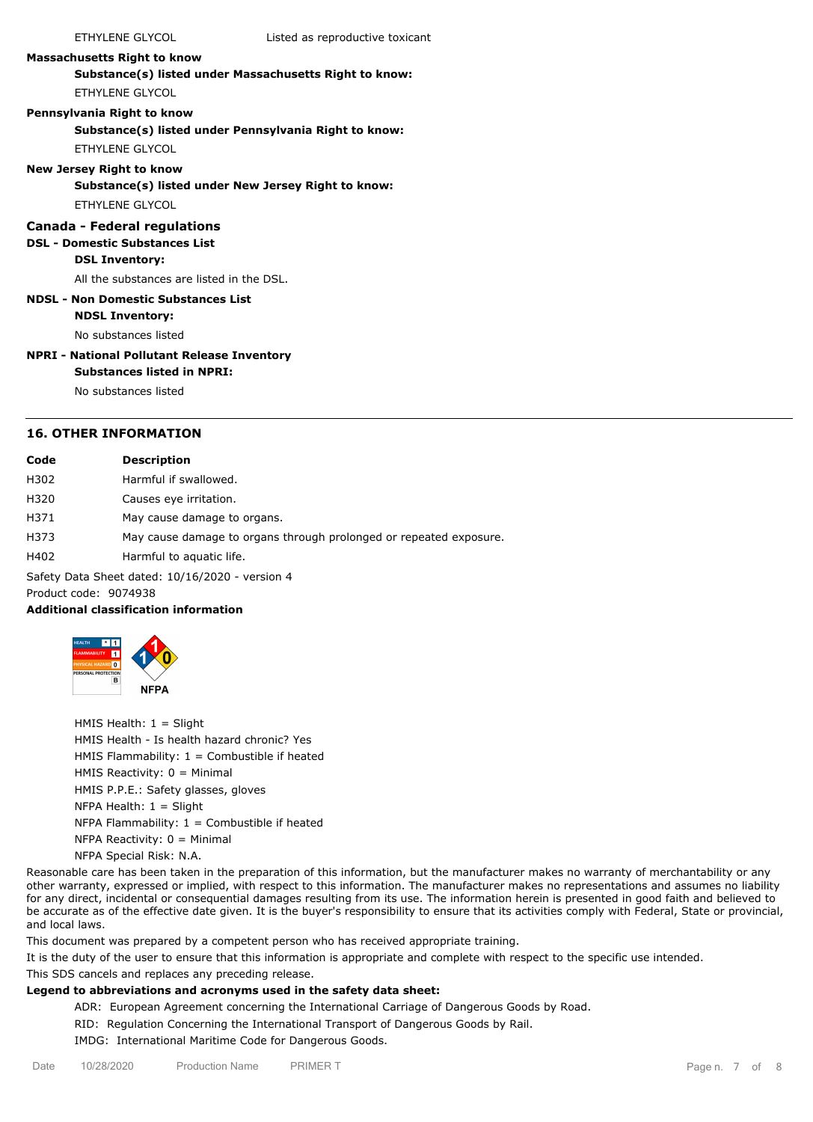### **Massachusetts Right to know**

**Substance(s) listed under Massachusetts Right to know:** ETHYLENE GLYCOL

### **Pennsylvania Right to know**

**Substance(s) listed under Pennsylvania Right to know:**

ETHYLENE GLYCOL

### **New Jersey Right to know**

**Substance(s) listed under New Jersey Right to know:**

ETHYLENE GLYCOL

## **Canada - Federal regulations**

# **DSL - Domestic Substances List**

**DSL Inventory:**

All the substances are listed in the DSL.

### **NDSL - Non Domestic Substances List NDSL Inventory:**

No substances listed

# **NPRI - National Pollutant Release Inventory**

#### **Substances listed in NPRI:**

No substances listed

# **16. OTHER INFORMATION**

| Code                                            | Description                                                        |  |  |  |
|-------------------------------------------------|--------------------------------------------------------------------|--|--|--|
| H302                                            | Harmful if swallowed.                                              |  |  |  |
| H320                                            | Causes eye irritation.                                             |  |  |  |
| H371                                            | May cause damage to organs.                                        |  |  |  |
| H373                                            | May cause damage to organs through prolonged or repeated exposure. |  |  |  |
| H402                                            | Harmful to aquatic life.                                           |  |  |  |
| Safety Data Sheet dated: 10/16/2020 - version 4 |                                                                    |  |  |  |
| Product code: 9074938                           |                                                                    |  |  |  |
|                                                 |                                                                    |  |  |  |

# **Additional classification information**



HMIS Health: 1 = Slight HMIS Health - Is health hazard chronic? Yes HMIS Flammability:  $1 =$  Combustible if heated HMIS Reactivity: 0 = Minimal HMIS P.P.E.: Safety glasses, gloves NFPA Health:  $1 =$  Slight NFPA Flammability:  $1 =$  Combustible if heated NFPA Reactivity:  $0 =$  Minimal NFPA Special Risk: N.A.

Reasonable care has been taken in the preparation of this information, but the manufacturer makes no warranty of merchantability or any other warranty, expressed or implied, with respect to this information. The manufacturer makes no representations and assumes no liability for any direct, incidental or consequential damages resulting from its use. The information herein is presented in good faith and believed to be accurate as of the effective date given. It is the buyer's responsibility to ensure that its activities comply with Federal, State or provincial, and local laws.

This document was prepared by a competent person who has received appropriate training.

It is the duty of the user to ensure that this information is appropriate and complete with respect to the specific use intended.

This SDS cancels and replaces any preceding release.

# **Legend to abbreviations and acronyms used in the safety data sheet:**

ADR: European Agreement concerning the International Carriage of Dangerous Goods by Road.

RID: Regulation Concerning the International Transport of Dangerous Goods by Rail.

IMDG: International Maritime Code for Dangerous Goods.